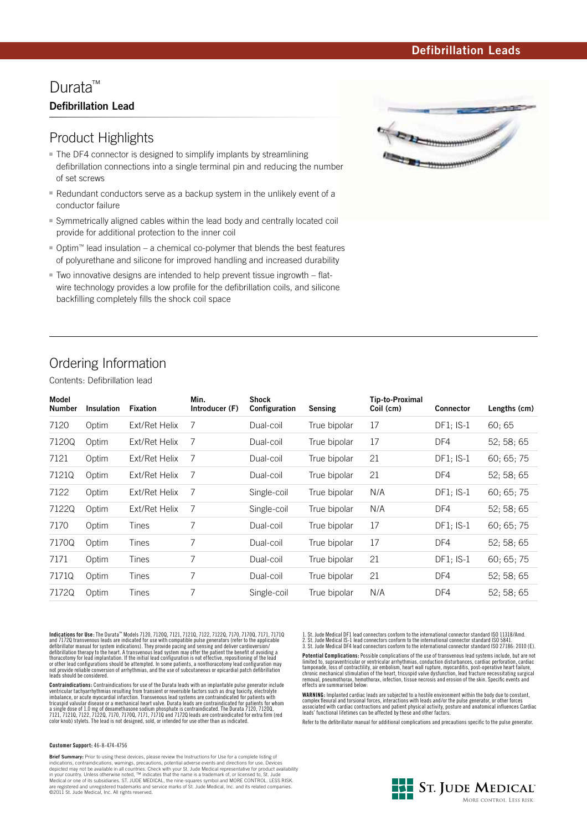### **Defibrillation Leads**

## Durata<sup>™</sup> **Defibrillation Lead**

## Product Highlights

- The DF4 connector is designed to simplify implants by streamlining defibrillation connections into a single terminal pin and reducing the number of set screws
- Redundant conductors serve as a backup system in the unlikely event of a conductor failure
- Symmetrically aligned cables within the lead body and centrally located coil provide for additional protection to the inner coil
- Optim™ lead insulation a chemical co-polymer that blends the best features of polyurethane and silicone for improved handling and increased durability
- Two innovative designs are intended to help prevent tissue ingrowth flatwire technology provides a low profile for the defibrillation coils, and silicone backfilling completely fills the shock coil space



# Ordering Information

Contents: Defibrillation lead

| Model<br><b>Number</b> | <b>Insulation</b> | <b>Fixation</b> | Min.<br>Introducer (F) | <b>Shock</b><br>Configuration | Sensing      | Tip-to-Proximal<br>Coil (cm) | <b>Connector</b> | Lengths (cm) |
|------------------------|-------------------|-----------------|------------------------|-------------------------------|--------------|------------------------------|------------------|--------------|
| 7120                   | Optim             | Ext/Ret Helix   | 7                      | Dual-coil                     | True bipolar | 17                           | $DF1$ ; IS-1     | 60:65        |
| 7120Q                  | Optim             | Ext/Ret Helix   | 7                      | Dual-coil                     | True bipolar | 17                           | DF4              | 52:58:65     |
| 7121                   | Optim             | Ext/Ret Helix   | 7                      | Dual-coil                     | True bipolar | 21                           | $DF1$ ; IS-1     | 60; 65; 75   |
| 7121Q                  | Optim             | Ext/Ret Helix   | 7                      | Dual-coil                     | True bipolar | 21                           | DF4              | 52: 58: 65   |
| 7122                   | Optim             | Ext/Ret Helix   | 7                      | Single-coil                   | True bipolar | N/A                          | $DF1: IS-1$      | 60:65:75     |
| 7122Q                  | Optim             | Ext/Ret Helix   | 7                      | Single-coil                   | True bipolar | N/A                          | DF4              | 52:58:65     |
| 7170                   | Optim             | Tines           | 7                      | Dual-coil                     | True bipolar | 17                           | $DF1: IS-1$      | 60:65:75     |
| 7170Q                  | Optim             | Tines           | 7                      | Dual-coil                     | True bipolar | 17                           | DF4              | 52:58:65     |
| 7171                   | Optim             | Tines           | 7                      | Dual-coil                     | True bipolar | 21                           | $DF1: IS-1$      | 60:65:75     |
| 7171Q                  | Optim             | Tines           | 7                      | Dual-coil                     | True bipolar | 21                           | DF4              | 52: 58: 65   |
| 7172Q                  | Optim             | Tines           | 7                      | Single-coil                   | True bipolar | N/A                          | DF4              | 52; 58; 65   |

**Indications for Use**: The Durata<sup>no</sup> Models 7120, 71200, 7121, 71210, 7122, 71220, 7170, 71700, 7171, 71710<br>and 71720 transvenous leads are indicated for use with compatible pulse generators (refer to the applicable<br>defib defibrillation therapy to the heart. A transvenous lead system may offer the patient the benefit of avoiding a thoracotomy for lead implantation. If the initial lead configuration is not effective, repositioning of the lead<br>or other lead configurations should be attempted. In some patients, a nonthoracotomy lead configuration may<br>n

**Contraindications:** Contraindications for use of the Durata leads with an implantable pulse generator include ventricular tachyarrhythmias resulting from transient or reversible factors such as drug toxicity, electrolyte<br>imbalance, or acute myocardial infraction. Transvenous lead systems are contraindicated for patients with<br>tricu

#### **Customer Support:** 46-8-474-4756

**Brief Summary:** Prior to using these devices, please review the Instructions for Use for a complete listing of indications, contraindications, warnings, precautions, potential adverse events and directions for use. Devices depicted may not be available in all countries. Check with your St. Jude Medical representative for product availability<br>in your country. Unless otherwise noted, ™ indicates that the name is a trademark of, or licensed to,

1. St. Jude Medical DF1 lead connectors conform to the international connector standard ISO 11318/Amd. 2. St. Jude Medical IS-1 lead connectors conform to the international connector standard ISO 5841. 3. St. Jude Medical DF4 lead connectors conform to the international connector standard ISO 27186: 2010 (E).

**Potential Complications:** Possible complications of the use of transvenous lead systems include, but are not<br>limited to, supraventricular or ventricular arrhythmias, conduction disturbances, cardiac perforation, cardiac<br>t removal, pneumothorax, hemothorax, infection, tissue necrosis and erosion of the skin. Specific events and effects are summarised below:

**WARNING:** Implanted cardiac leads are subjected to a hostile environment within the body due to constant,<br>ecomplex flexural and torsional forces, interactions with leads and/or the pulse generator, or other forces<br>associa

Refer to the defibrillator manual for additional complications and precautions specific to the pulse generator.